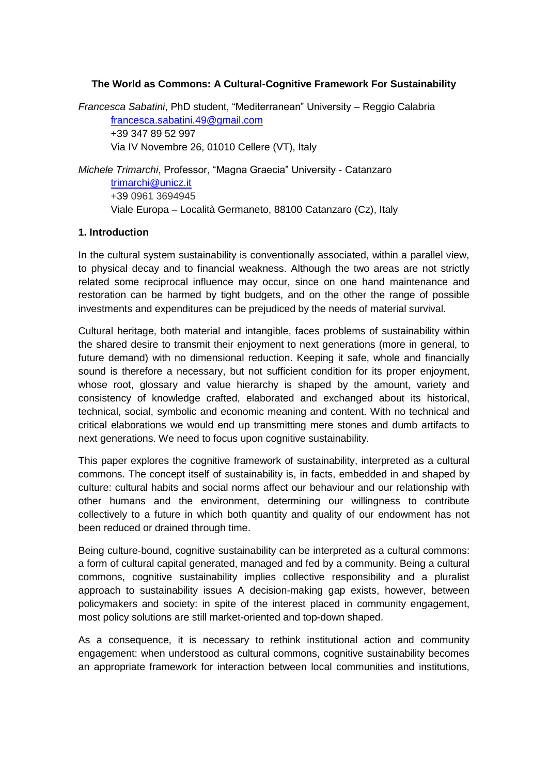## **The World as Commons: A Cultural-Cognitive Framework For Sustainability**

*Francesca Sabatini*, PhD student, "Mediterranean" University – Reggio Calabria [francesca.sabatini.49@gmail.com](mailto:francesca.sabatini.49@gmail.com) +39 347 89 52 997 Via IV Novembre 26, 01010 Cellere (VT), Italy

*Michele Trimarchi*, Professor, "Magna Graecia" University - Catanzaro [trimarchi@unicz.it](mailto:trimarchi@unicz.it) +39 0961 3694945 Viale Europa – Località Germaneto, 88100 Catanzaro (Cz), Italy

#### **1. Introduction**

In the cultural system sustainability is conventionally associated, within a parallel view, to physical decay and to financial weakness. Although the two areas are not strictly related some reciprocal influence may occur, since on one hand maintenance and restoration can be harmed by tight budgets, and on the other the range of possible investments and expenditures can be prejudiced by the needs of material survival.

Cultural heritage, both material and intangible, faces problems of sustainability within the shared desire to transmit their enjoyment to next generations (more in general, to future demand) with no dimensional reduction. Keeping it safe, whole and financially sound is therefore a necessary, but not sufficient condition for its proper enjoyment, whose root, glossary and value hierarchy is shaped by the amount, variety and consistency of knowledge crafted, elaborated and exchanged about its historical, technical, social, symbolic and economic meaning and content. With no technical and critical elaborations we would end up transmitting mere stones and dumb artifacts to next generations. We need to focus upon cognitive sustainability.

This paper explores the cognitive framework of sustainability, interpreted as a cultural commons. The concept itself of sustainability is, in facts, embedded in and shaped by culture: cultural habits and social norms affect our behaviour and our relationship with other humans and the environment, determining our willingness to contribute collectively to a future in which both quantity and quality of our endowment has not been reduced or drained through time.

Being culture-bound, cognitive sustainability can be interpreted as a cultural commons: a form of cultural capital generated, managed and fed by a community. Being a cultural commons, cognitive sustainability implies collective responsibility and a pluralist approach to sustainability issues A decision-making gap exists, however, between policymakers and society: in spite of the interest placed in community engagement, most policy solutions are still market-oriented and top-down shaped.

As a consequence, it is necessary to rethink institutional action and community engagement: when understood as cultural commons, cognitive sustainability becomes an appropriate framework for interaction between local communities and institutions,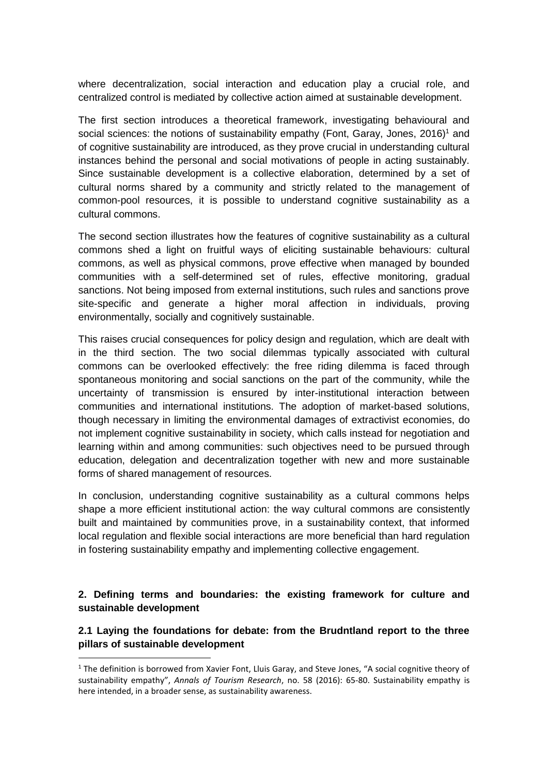where decentralization, social interaction and education play a crucial role, and centralized control is mediated by collective action aimed at sustainable development.

The first section introduces a theoretical framework, investigating behavioural and social sciences: the notions of sustainability empathy (Font, Garay, Jones,  $2016$ )<sup>1</sup> and of cognitive sustainability are introduced, as they prove crucial in understanding cultural instances behind the personal and social motivations of people in acting sustainably. Since sustainable development is a collective elaboration, determined by a set of cultural norms shared by a community and strictly related to the management of common-pool resources, it is possible to understand cognitive sustainability as a cultural commons.

The second section illustrates how the features of cognitive sustainability as a cultural commons shed a light on fruitful ways of eliciting sustainable behaviours: cultural commons, as well as physical commons, prove effective when managed by bounded communities with a self-determined set of rules, effective monitoring, gradual sanctions. Not being imposed from external institutions, such rules and sanctions prove site-specific and generate a higher moral affection in individuals, proving environmentally, socially and cognitively sustainable.

This raises crucial consequences for policy design and regulation, which are dealt with in the third section. The two social dilemmas typically associated with cultural commons can be overlooked effectively: the free riding dilemma is faced through spontaneous monitoring and social sanctions on the part of the community, while the uncertainty of transmission is ensured by inter-institutional interaction between communities and international institutions. The adoption of market-based solutions, though necessary in limiting the environmental damages of extractivist economies, do not implement cognitive sustainability in society, which calls instead for negotiation and learning within and among communities: such objectives need to be pursued through education, delegation and decentralization together with new and more sustainable forms of shared management of resources.

In conclusion, understanding cognitive sustainability as a cultural commons helps shape a more efficient institutional action: the way cultural commons are consistently built and maintained by communities prove, in a sustainability context, that informed local regulation and flexible social interactions are more beneficial than hard regulation in fostering sustainability empathy and implementing collective engagement.

## **2. Defining terms and boundaries: the existing framework for culture and sustainable development**

**2.1 Laying the foundations for debate: from the Brudntland report to the three pillars of sustainable development**

1

<sup>&</sup>lt;sup>1</sup> The definition is borrowed from Xavier Font, Lluis Garay, and Steve Jones, "A social cognitive theory of sustainability empathy", *Annals of Tourism Research*, no. 58 (2016): 65-80. Sustainability empathy is here intended, in a broader sense, as sustainability awareness.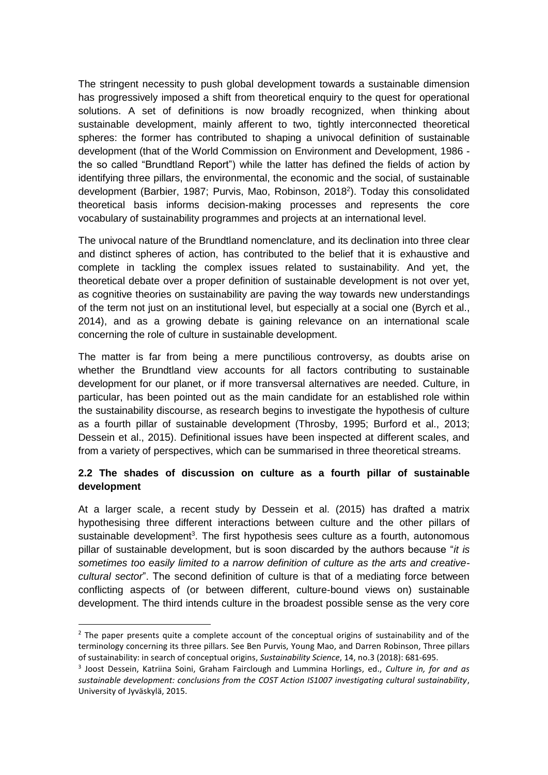The stringent necessity to push global development towards a sustainable dimension has progressively imposed a shift from theoretical enquiry to the quest for operational solutions. A set of definitions is now broadly recognized, when thinking about sustainable development, mainly afferent to two, tightly interconnected theoretical spheres: the former has contributed to shaping a univocal definition of sustainable development (that of the World Commission on Environment and Development, 1986 the so called "Brundtland Report") while the latter has defined the fields of action by identifying three pillars, the environmental, the economic and the social, of sustainable development (Barbier, 1987; Purvis, Mao, Robinson, 2018<sup>2</sup>). Today this consolidated theoretical basis informs decision-making processes and represents the core vocabulary of sustainability programmes and projects at an international level.

The univocal nature of the Brundtland nomenclature, and its declination into three clear and distinct spheres of action, has contributed to the belief that it is exhaustive and complete in tackling the complex issues related to sustainability. And yet, the theoretical debate over a proper definition of sustainable development is not over yet, as cognitive theories on sustainability are paving the way towards new understandings of the term not just on an institutional level, but especially at a social one (Byrch et al., 2014), and as a growing debate is gaining relevance on an international scale concerning the role of culture in sustainable development.

The matter is far from being a mere punctilious controversy, as doubts arise on whether the Brundtland view accounts for all factors contributing to sustainable development for our planet, or if more transversal alternatives are needed. Culture, in particular, has been pointed out as the main candidate for an established role within the sustainability discourse, as research begins to investigate the hypothesis of culture as a fourth pillar of sustainable development (Throsby, 1995; Burford et al., 2013; Dessein et al., 2015). Definitional issues have been inspected at different scales, and from a variety of perspectives, which can be summarised in three theoretical streams.

## **2.2 The shades of discussion on culture as a fourth pillar of sustainable development**

At a larger scale, a recent study by Dessein et al. (2015) has drafted a matrix hypothesising three different interactions between culture and the other pillars of sustainable development<sup>3</sup>. The first hypothesis sees culture as a fourth, autonomous pillar of sustainable development, but is soon discarded by the authors because "*it is sometimes too easily limited to a narrow definition of culture as the arts and creativecultural sector*". The second definition of culture is that of a mediating force between conflicting aspects of (or between different, culture-bound views on) sustainable development. The third intends culture in the broadest possible sense as the very core

 $\overline{a}$ 

 $<sup>2</sup>$  The paper presents quite a complete account of the conceptual origins of sustainability and of the</sup> terminology concerning its three pillars. See Ben Purvis, Young Mao, and Darren Robinson, Three pillars of sustainability: in search of conceptual origins, *Sustainability Science*, 14, no.3 (2018): 681-695.

<sup>3</sup> Joost Dessein, Katriina Soini, Graham Fairclough and Lummina Horlings, ed., *Culture in, for and as sustainable development: conclusions from the COST Action IS1007 investigating cultural sustainability*, University of Jyväskylä, 2015.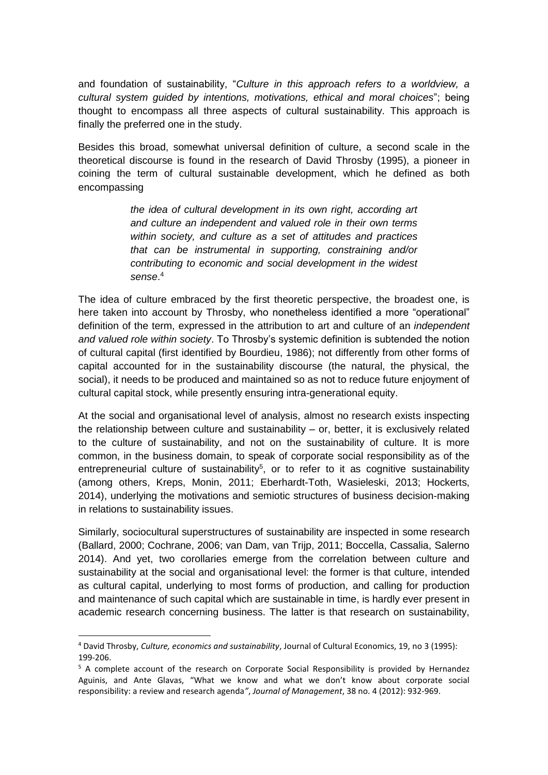and foundation of sustainability, "*Culture in this approach refers to a worldview, a cultural system guided by intentions, motivations, ethical and moral choices*"; being thought to encompass all three aspects of cultural sustainability. This approach is finally the preferred one in the study.

Besides this broad, somewhat universal definition of culture, a second scale in the theoretical discourse is found in the research of David Throsby (1995), a pioneer in coining the term of cultural sustainable development, which he defined as both encompassing

> *the idea of cultural development in its own right, according art and culture an independent and valued role in their own terms within society, and culture as a set of attitudes and practices that can be instrumental in supporting, constraining and/or contributing to economic and social development in the widest sense*. 4

The idea of culture embraced by the first theoretic perspective, the broadest one, is here taken into account by Throsby, who nonetheless identified a more "operational" definition of the term, expressed in the attribution to art and culture of an *independent and valued role within society*. To Throsby's systemic definition is subtended the notion of cultural capital (first identified by Bourdieu, 1986); not differently from other forms of capital accounted for in the sustainability discourse (the natural, the physical, the social), it needs to be produced and maintained so as not to reduce future enjoyment of cultural capital stock, while presently ensuring intra-generational equity.

At the social and organisational level of analysis, almost no research exists inspecting the relationship between culture and sustainability – or, better, it is exclusively related to the culture of sustainability, and not on the sustainability of culture. It is more common, in the business domain, to speak of corporate social responsibility as of the entrepreneurial culture of sustainability<sup>5</sup>, or to refer to it as cognitive sustainability (among others, Kreps, Monin, 2011; Eberhardt-Toth, Wasieleski, 2013; Hockerts, 2014), underlying the motivations and semiotic structures of business decision-making in relations to sustainability issues.

Similarly, sociocultural superstructures of sustainability are inspected in some research (Ballard, 2000; Cochrane, 2006; van Dam, van Trijp, 2011; Boccella, Cassalia, Salerno 2014). And yet, two corollaries emerge from the correlation between culture and sustainability at the social and organisational level: the former is that culture, intended as cultural capital, underlying to most forms of production, and calling for production and maintenance of such capital which are sustainable in time, is hardly ever present in academic research concerning business. The latter is that research on sustainability,

**.** 

<sup>4</sup> David Throsby, *Culture, economics and sustainability*, Journal of Cultural Economics, 19, no 3 (1995): 199-206.

<sup>&</sup>lt;sup>5</sup> A complete account of the research on Corporate Social Responsibility is provided by Hernandez Aguinis, and Ante Glavas, "What we know and what we don't know about corporate social responsibility: a review and research agenda*"*, *Journal of Management*, 38 no. 4 (2012): 932-969.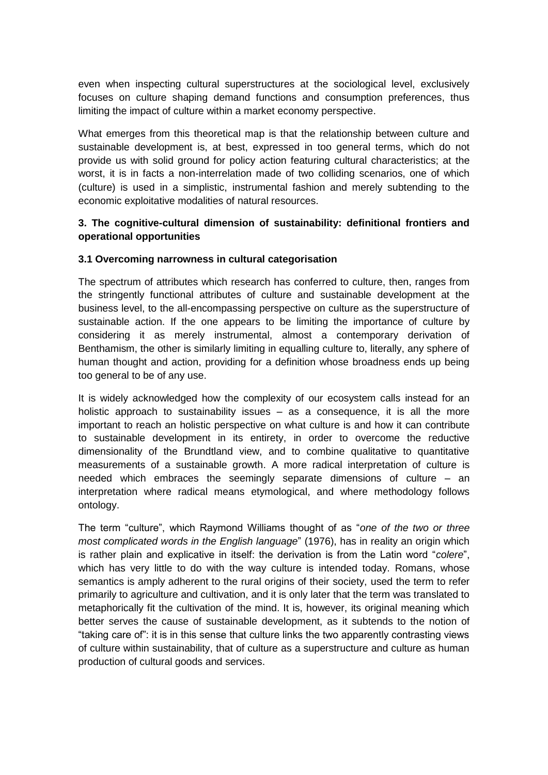even when inspecting cultural superstructures at the sociological level, exclusively focuses on culture shaping demand functions and consumption preferences, thus limiting the impact of culture within a market economy perspective.

What emerges from this theoretical map is that the relationship between culture and sustainable development is, at best, expressed in too general terms, which do not provide us with solid ground for policy action featuring cultural characteristics; at the worst, it is in facts a non-interrelation made of two colliding scenarios, one of which (culture) is used in a simplistic, instrumental fashion and merely subtending to the economic exploitative modalities of natural resources.

# **3. The cognitive-cultural dimension of sustainability: definitional frontiers and operational opportunities**

## **3.1 Overcoming narrowness in cultural categorisation**

The spectrum of attributes which research has conferred to culture, then, ranges from the stringently functional attributes of culture and sustainable development at the business level, to the all-encompassing perspective on culture as the superstructure of sustainable action. If the one appears to be limiting the importance of culture by considering it as merely instrumental, almost a contemporary derivation of Benthamism, the other is similarly limiting in equalling culture to, literally, any sphere of human thought and action, providing for a definition whose broadness ends up being too general to be of any use.

It is widely acknowledged how the complexity of our ecosystem calls instead for an holistic approach to sustainability issues  $-$  as a consequence, it is all the more important to reach an holistic perspective on what culture is and how it can contribute to sustainable development in its entirety, in order to overcome the reductive dimensionality of the Brundtland view, and to combine qualitative to quantitative measurements of a sustainable growth. A more radical interpretation of culture is needed which embraces the seemingly separate dimensions of culture – an interpretation where radical means etymological, and where methodology follows ontology.

The term "culture", which Raymond Williams thought of as "*one of the two or three most complicated words in the English language*" (1976), has in reality an origin which is rather plain and explicative in itself: the derivation is from the Latin word "*colere*", which has very little to do with the way culture is intended today. Romans, whose semantics is amply adherent to the rural origins of their society, used the term to refer primarily to agriculture and cultivation, and it is only later that the term was translated to metaphorically fit the cultivation of the mind. It is, however, its original meaning which better serves the cause of sustainable development, as it subtends to the notion of "taking care of": it is in this sense that culture links the two apparently contrasting views of culture within sustainability, that of culture as a superstructure and culture as human production of cultural goods and services.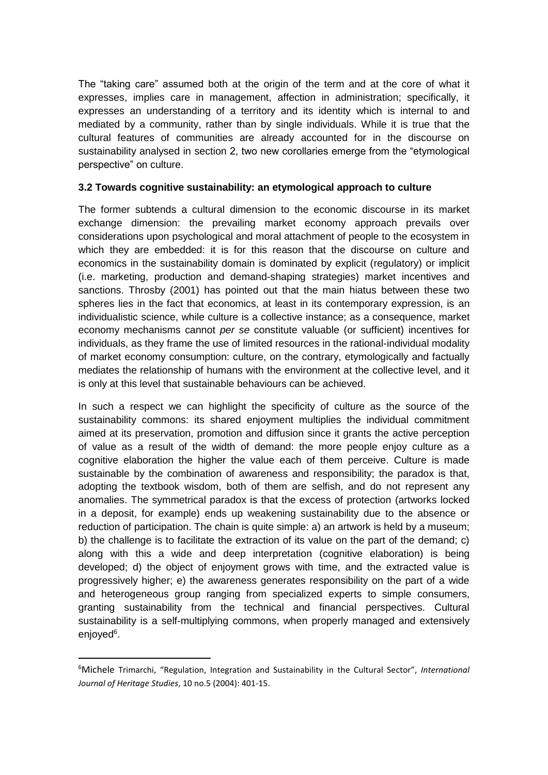The "taking care" assumed both at the origin of the term and at the core of what it expresses, implies care in management, affection in administration; specifically, it expresses an understanding of a territory and its identity which is internal to and mediated by a community, rather than by single individuals. While it is true that the cultural features of communities are already accounted for in the discourse on sustainability analysed in section 2, two new corollaries emerge from the "etymological perspective" on culture.

### **3.2 Towards cognitive sustainability: an etymological approach to culture**

The former subtends a cultural dimension to the economic discourse in its market exchange dimension: the prevailing market economy approach prevails over considerations upon psychological and moral attachment of people to the ecosystem in which they are embedded: it is for this reason that the discourse on culture and economics in the sustainability domain is dominated by explicit (regulatory) or implicit (i.e. marketing, production and demand-shaping strategies) market incentives and sanctions. Throsby (2001) has pointed out that the main hiatus between these two spheres lies in the fact that economics, at least in its contemporary expression, is an individualistic science, while culture is a collective instance; as a consequence, market economy mechanisms cannot *per se* constitute valuable (or sufficient) incentives for individuals, as they frame the use of limited resources in the rational-individual modality of market economy consumption: culture, on the contrary, etymologically and factually mediates the relationship of humans with the environment at the collective level, and it is only at this level that sustainable behaviours can be achieved.

In such a respect we can highlight the specificity of culture as the source of the sustainability commons: its shared enjoyment multiplies the individual commitment aimed at its preservation, promotion and diffusion since it grants the active perception of value as a result of the width of demand: the more people enjoy culture as a cognitive elaboration the higher the value each of them perceive. Culture is made sustainable by the combination of awareness and responsibility; the paradox is that, adopting the textbook wisdom, both of them are selfish, and do not represent any anomalies. The symmetrical paradox is that the excess of protection (artworks locked in a deposit, for example) ends up weakening sustainability due to the absence or reduction of participation. The chain is quite simple: a) an artwork is held by a museum; b) the challenge is to facilitate the extraction of its value on the part of the demand; c) along with this a wide and deep interpretation (cognitive elaboration) is being developed; d) the object of enjoyment grows with time, and the extracted value is progressively higher; e) the awareness generates responsibility on the part of a wide and heterogeneous group ranging from specialized experts to simple consumers, granting sustainability from the technical and financial perspectives. Cultural sustainability is a self-multiplying commons, when properly managed and extensively enjoyed<sup>6</sup>.

 $\overline{a}$ 

<sup>6</sup>Michele Trimarchi, "Regulation, Integration and Sustainability in the Cultural Sector", *International Journal of Heritage Studies*, 10 no.5 (2004): 401-15.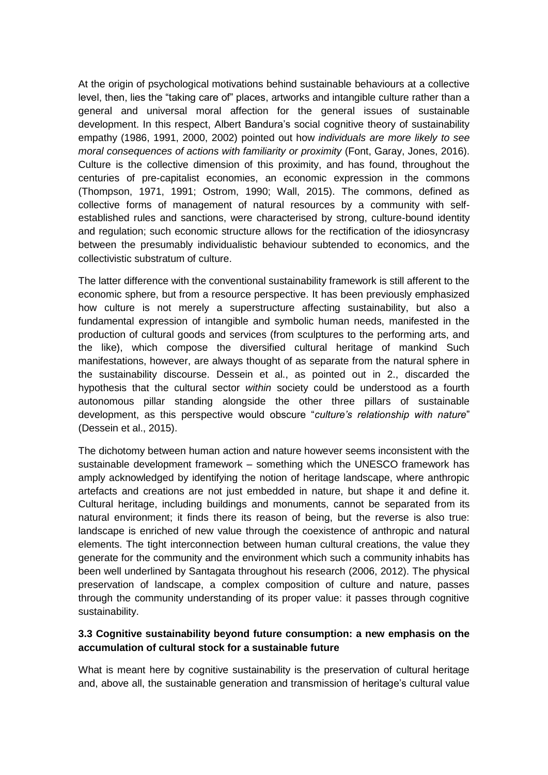At the origin of psychological motivations behind sustainable behaviours at a collective level, then, lies the "taking care of" places, artworks and intangible culture rather than a general and universal moral affection for the general issues of sustainable development. In this respect, Albert Bandura's social cognitive theory of sustainability empathy (1986, 1991, 2000, 2002) pointed out how *individuals are more likely to see moral consequences of actions with familiarity or proximity* (Font, Garay, Jones, 2016). Culture is the collective dimension of this proximity, and has found, throughout the centuries of pre-capitalist economies, an economic expression in the commons (Thompson, 1971, 1991; Ostrom, 1990; Wall, 2015). The commons, defined as collective forms of management of natural resources by a community with selfestablished rules and sanctions, were characterised by strong, culture-bound identity and regulation; such economic structure allows for the rectification of the idiosyncrasy between the presumably individualistic behaviour subtended to economics, and the collectivistic substratum of culture.

The latter difference with the conventional sustainability framework is still afferent to the economic sphere, but from a resource perspective. It has been previously emphasized how culture is not merely a superstructure affecting sustainability, but also a fundamental expression of intangible and symbolic human needs, manifested in the production of cultural goods and services (from sculptures to the performing arts, and the like), which compose the diversified cultural heritage of mankind Such manifestations, however, are always thought of as separate from the natural sphere in the sustainability discourse. Dessein et al., as pointed out in 2., discarded the hypothesis that the cultural sector *within* society could be understood as a fourth autonomous pillar standing alongside the other three pillars of sustainable development, as this perspective would obscure "*culture's relationship with nature*" (Dessein et al., 2015).

The dichotomy between human action and nature however seems inconsistent with the sustainable development framework – something which the UNESCO framework has amply acknowledged by identifying the notion of heritage landscape, where anthropic artefacts and creations are not just embedded in nature, but shape it and define it. Cultural heritage, including buildings and monuments, cannot be separated from its natural environment; it finds there its reason of being, but the reverse is also true: landscape is enriched of new value through the coexistence of anthropic and natural elements. The tight interconnection between human cultural creations, the value they generate for the community and the environment which such a community inhabits has been well underlined by Santagata throughout his research (2006, 2012). The physical preservation of landscape, a complex composition of culture and nature, passes through the community understanding of its proper value: it passes through cognitive sustainability.

## **3.3 Cognitive sustainability beyond future consumption: a new emphasis on the accumulation of cultural stock for a sustainable future**

What is meant here by cognitive sustainability is the preservation of cultural heritage and, above all, the sustainable generation and transmission of heritage's cultural value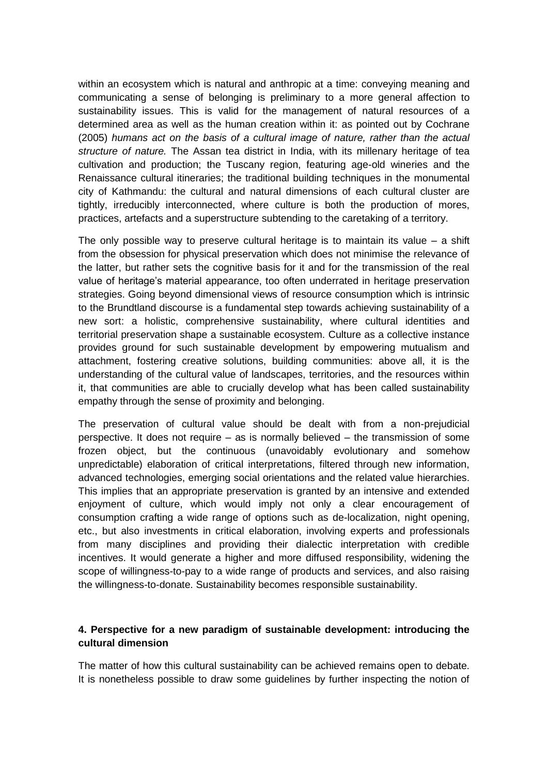within an ecosystem which is natural and anthropic at a time: conveying meaning and communicating a sense of belonging is preliminary to a more general affection to sustainability issues. This is valid for the management of natural resources of a determined area as well as the human creation within it: as pointed out by Cochrane (2005) *humans act on the basis of a cultural image of nature, rather than the actual structure of nature.* The Assan tea district in India, with its millenary heritage of tea cultivation and production; the Tuscany region, featuring age-old wineries and the Renaissance cultural itineraries; the traditional building techniques in the monumental city of Kathmandu: the cultural and natural dimensions of each cultural cluster are tightly, irreducibly interconnected, where culture is both the production of mores, practices, artefacts and a superstructure subtending to the caretaking of a territory.

The only possible way to preserve cultural heritage is to maintain its value  $-$  a shift from the obsession for physical preservation which does not minimise the relevance of the latter, but rather sets the cognitive basis for it and for the transmission of the real value of heritage's material appearance, too often underrated in heritage preservation strategies. Going beyond dimensional views of resource consumption which is intrinsic to the Brundtland discourse is a fundamental step towards achieving sustainability of a new sort: a holistic, comprehensive sustainability, where cultural identities and territorial preservation shape a sustainable ecosystem. Culture as a collective instance provides ground for such sustainable development by empowering mutualism and attachment, fostering creative solutions, building communities: above all, it is the understanding of the cultural value of landscapes, territories, and the resources within it, that communities are able to crucially develop what has been called sustainability empathy through the sense of proximity and belonging.

The preservation of cultural value should be dealt with from a non-prejudicial perspective. It does not require – as is normally believed – the transmission of some frozen object, but the continuous (unavoidably evolutionary and somehow unpredictable) elaboration of critical interpretations, filtered through new information, advanced technologies, emerging social orientations and the related value hierarchies. This implies that an appropriate preservation is granted by an intensive and extended enjoyment of culture, which would imply not only a clear encouragement of consumption crafting a wide range of options such as de-localization, night opening, etc., but also investments in critical elaboration, involving experts and professionals from many disciplines and providing their dialectic interpretation with credible incentives. It would generate a higher and more diffused responsibility, widening the scope of willingness-to-pay to a wide range of products and services, and also raising the willingness-to-donate. Sustainability becomes responsible sustainability.

## **4. Perspective for a new paradigm of sustainable development: introducing the cultural dimension**

The matter of how this cultural sustainability can be achieved remains open to debate. It is nonetheless possible to draw some guidelines by further inspecting the notion of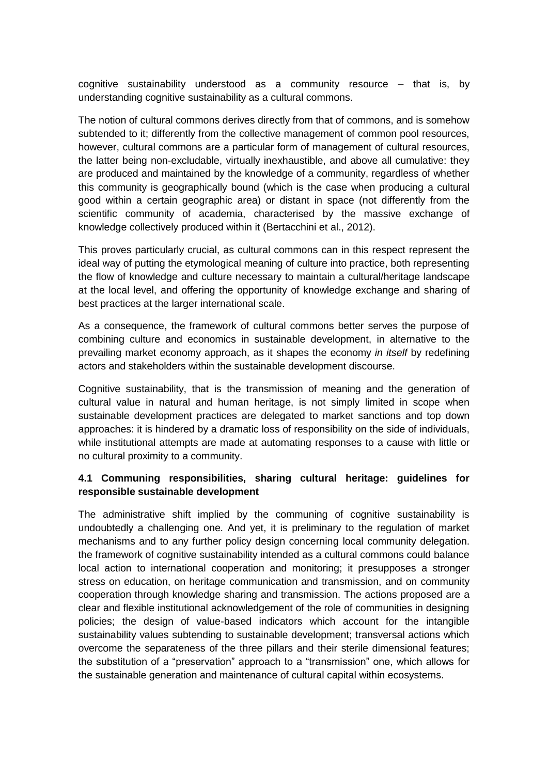cognitive sustainability understood as a community resource – that is, by understanding cognitive sustainability as a cultural commons.

The notion of cultural commons derives directly from that of commons, and is somehow subtended to it; differently from the collective management of common pool resources, however, cultural commons are a particular form of management of cultural resources, the latter being non-excludable, virtually inexhaustible, and above all cumulative: they are produced and maintained by the knowledge of a community, regardless of whether this community is geographically bound (which is the case when producing a cultural good within a certain geographic area) or distant in space (not differently from the scientific community of academia, characterised by the massive exchange of knowledge collectively produced within it (Bertacchini et al., 2012).

This proves particularly crucial, as cultural commons can in this respect represent the ideal way of putting the etymological meaning of culture into practice, both representing the flow of knowledge and culture necessary to maintain a cultural/heritage landscape at the local level, and offering the opportunity of knowledge exchange and sharing of best practices at the larger international scale.

As a consequence, the framework of cultural commons better serves the purpose of combining culture and economics in sustainable development, in alternative to the prevailing market economy approach, as it shapes the economy *in itself* by redefining actors and stakeholders within the sustainable development discourse.

Cognitive sustainability, that is the transmission of meaning and the generation of cultural value in natural and human heritage, is not simply limited in scope when sustainable development practices are delegated to market sanctions and top down approaches: it is hindered by a dramatic loss of responsibility on the side of individuals, while institutional attempts are made at automating responses to a cause with little or no cultural proximity to a community.

## **4.1 Communing responsibilities, sharing cultural heritage: guidelines for responsible sustainable development**

The administrative shift implied by the communing of cognitive sustainability is undoubtedly a challenging one. And yet, it is preliminary to the regulation of market mechanisms and to any further policy design concerning local community delegation. the framework of cognitive sustainability intended as a cultural commons could balance local action to international cooperation and monitoring; it presupposes a stronger stress on education, on heritage communication and transmission, and on community cooperation through knowledge sharing and transmission. The actions proposed are a clear and flexible institutional acknowledgement of the role of communities in designing policies; the design of value-based indicators which account for the intangible sustainability values subtending to sustainable development; transversal actions which overcome the separateness of the three pillars and their sterile dimensional features; the substitution of a "preservation" approach to a "transmission" one, which allows for the sustainable generation and maintenance of cultural capital within ecosystems.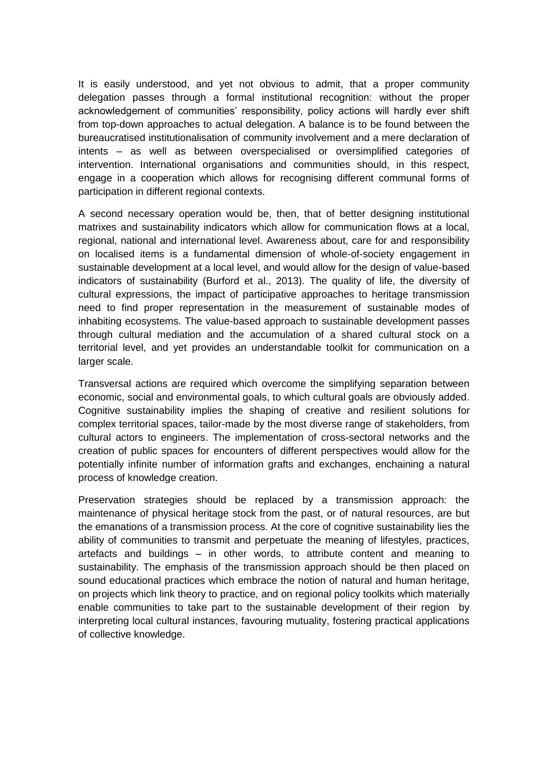It is easily understood, and yet not obvious to admit, that a proper community delegation passes through a formal institutional recognition: without the proper acknowledgement of communities' responsibility, policy actions will hardly ever shift from top-down approaches to actual delegation. A balance is to be found between the bureaucratised institutionalisation of community involvement and a mere declaration of intents – as well as between overspecialised or oversimplified categories of intervention. International organisations and communities should, in this respect, engage in a cooperation which allows for recognising different communal forms of participation in different regional contexts.

A second necessary operation would be, then, that of better designing institutional matrixes and sustainability indicators which allow for communication flows at a local, regional, national and international level. Awareness about, care for and responsibility on localised items is a fundamental dimension of whole-of-society engagement in sustainable development at a local level, and would allow for the design of value-based indicators of sustainability (Burford et al., 2013). The quality of life, the diversity of cultural expressions, the impact of participative approaches to heritage transmission need to find proper representation in the measurement of sustainable modes of inhabiting ecosystems. The value-based approach to sustainable development passes through cultural mediation and the accumulation of a shared cultural stock on a territorial level, and yet provides an understandable toolkit for communication on a larger scale.

Transversal actions are required which overcome the simplifying separation between economic, social and environmental goals, to which cultural goals are obviously added. Cognitive sustainability implies the shaping of creative and resilient solutions for complex territorial spaces, tailor-made by the most diverse range of stakeholders, from cultural actors to engineers. The implementation of cross-sectoral networks and the creation of public spaces for encounters of different perspectives would allow for the potentially infinite number of information grafts and exchanges, enchaining a natural process of knowledge creation.

Preservation strategies should be replaced by a transmission approach: the maintenance of physical heritage stock from the past, or of natural resources, are but the emanations of a transmission process. At the core of cognitive sustainability lies the ability of communities to transmit and perpetuate the meaning of lifestyles, practices, artefacts and buildings – in other words, to attribute content and meaning to sustainability. The emphasis of the transmission approach should be then placed on sound educational practices which embrace the notion of natural and human heritage, on projects which link theory to practice, and on regional policy toolkits which materially enable communities to take part to the sustainable development of their region by interpreting local cultural instances, favouring mutuality, fostering practical applications of collective knowledge.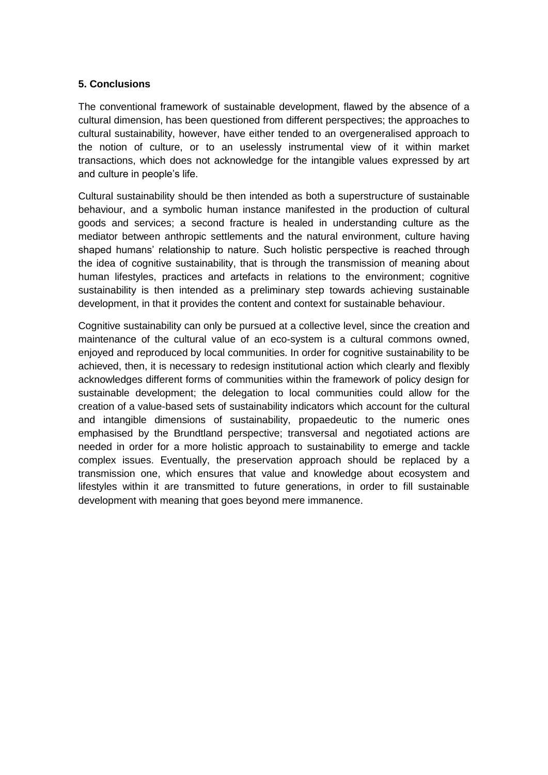## **5. Conclusions**

The conventional framework of sustainable development, flawed by the absence of a cultural dimension, has been questioned from different perspectives; the approaches to cultural sustainability, however, have either tended to an overgeneralised approach to the notion of culture, or to an uselessly instrumental view of it within market transactions, which does not acknowledge for the intangible values expressed by art and culture in people's life.

Cultural sustainability should be then intended as both a superstructure of sustainable behaviour, and a symbolic human instance manifested in the production of cultural goods and services; a second fracture is healed in understanding culture as the mediator between anthropic settlements and the natural environment, culture having shaped humans' relationship to nature. Such holistic perspective is reached through the idea of cognitive sustainability, that is through the transmission of meaning about human lifestyles, practices and artefacts in relations to the environment; cognitive sustainability is then intended as a preliminary step towards achieving sustainable development, in that it provides the content and context for sustainable behaviour.

Cognitive sustainability can only be pursued at a collective level, since the creation and maintenance of the cultural value of an eco-system is a cultural commons owned, enjoyed and reproduced by local communities. In order for cognitive sustainability to be achieved, then, it is necessary to redesign institutional action which clearly and flexibly acknowledges different forms of communities within the framework of policy design for sustainable development; the delegation to local communities could allow for the creation of a value-based sets of sustainability indicators which account for the cultural and intangible dimensions of sustainability, propaedeutic to the numeric ones emphasised by the Brundtland perspective; transversal and negotiated actions are needed in order for a more holistic approach to sustainability to emerge and tackle complex issues. Eventually, the preservation approach should be replaced by a transmission one, which ensures that value and knowledge about ecosystem and lifestyles within it are transmitted to future generations, in order to fill sustainable development with meaning that goes beyond mere immanence.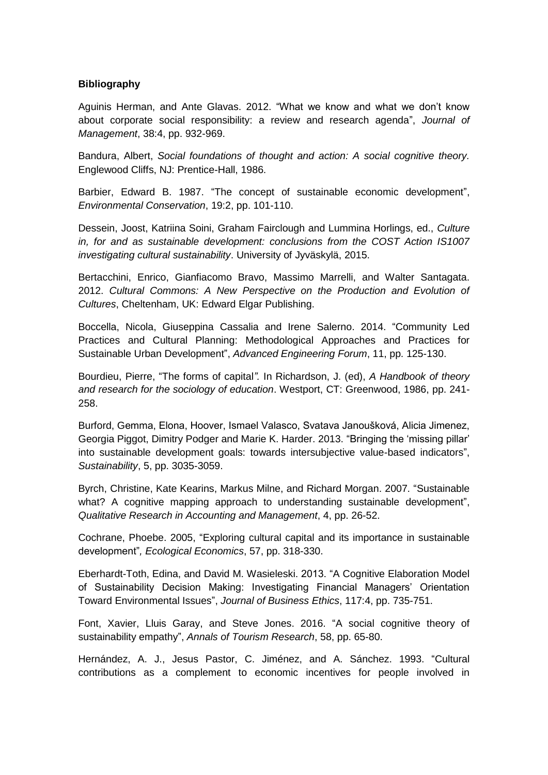## **Bibliography**

Aguinis Herman, and Ante Glavas. 2012. "What we know and what we don't know about corporate social responsibility: a review and research agenda", *Journal of Management*, 38:4, pp. 932-969.

Bandura, Albert, *Social foundations of thought and action: A social cognitive theory.* Englewood Cliffs, NJ: Prentice-Hall, 1986.

Barbier, Edward B. 1987. "The concept of sustainable economic development", *Environmental Conservation*, 19:2, pp. 101-110.

Dessein, Joost, Katriina Soini, Graham Fairclough and Lummina Horlings, ed., *Culture in, for and as sustainable development: conclusions from the COST Action IS1007 investigating cultural sustainability*. University of Jyväskylä, 2015.

Bertacchini, Enrico, Gianfiacomo Bravo, Massimo Marrelli, and Walter Santagata. 2012. *Cultural Commons: A New Perspective on the Production and Evolution of Cultures*, Cheltenham, UK: Edward Elgar Publishing.

Boccella, Nicola, Giuseppina Cassalia and Irene Salerno. 2014. "Community Led Practices and Cultural Planning: Methodological Approaches and Practices for Sustainable Urban Development", *Advanced Engineering Forum*, 11, pp. 125-130.

Bourdieu, Pierre, "The forms of capital*".* In Richardson, J. (ed), *A Handbook of theory and research for the sociology of education*. Westport, CT: Greenwood, 1986, pp. 241- 258.

Burford, Gemma, Elona, Hoover, Ismael Valasco, Svatava Janoušková, Alicia Jimenez, Georgia Piggot, Dimitry Podger and Marie K. Harder. 2013. "Bringing the 'missing pillar' into sustainable development goals: towards intersubjective value-based indicators", *Sustainability*, 5, pp. 3035-3059.

Byrch, Christine, Kate Kearins, Markus Milne, and Richard Morgan. 2007. "Sustainable what? A cognitive mapping approach to understanding sustainable development", *Qualitative Research in Accounting and Management*, 4, pp. 26-52.

Cochrane, Phoebe. 2005, "Exploring cultural capital and its importance in sustainable development"*, Ecological Economics*, 57, pp. 318-330.

Eberhardt-Toth, Edina, and David M. Wasieleski. 2013. "A Cognitive Elaboration Model of Sustainability Decision Making: Investigating Financial Managers' Orientation Toward Environmental Issues", *Journal of Business Ethics*, 117:4, pp. 735-751.

Font, Xavier, Lluis Garay, and Steve Jones. 2016. "A social cognitive theory of sustainability empathy", *Annals of Tourism Research*, 58, pp. 65-80.

Hernández, A. J., Jesus Pastor, C. Jiménez, and A. Sánchez. 1993. "Cultural contributions as a complement to economic incentives for people involved in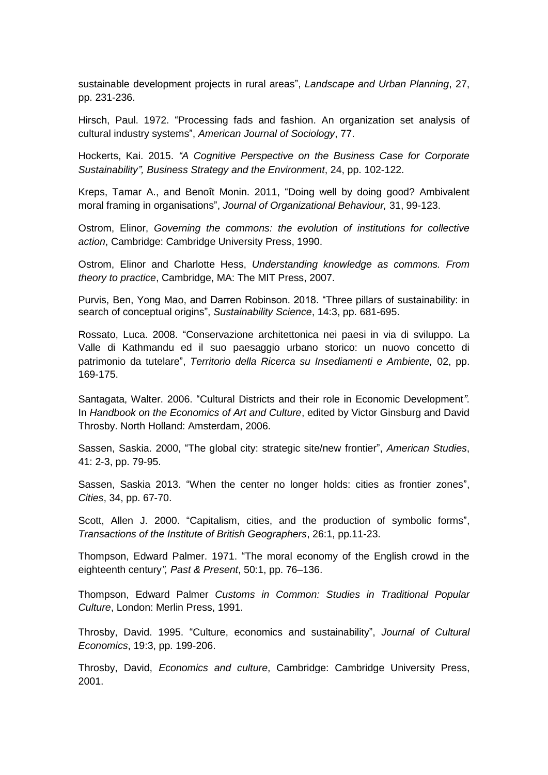sustainable development projects in rural areas", *Landscape and Urban Planning*, 27, pp. 231-236.

Hirsch, Paul. 1972. "Processing fads and fashion. An organization set analysis of cultural industry systems", *American Journal of Sociology*, 77.

Hockerts, Kai. 2015. *"A Cognitive Perspective on the Business Case for Corporate Sustainability", Business Strategy and the Environment*, 24, pp. 102-122.

Kreps, Tamar A., and Benoît Monin. 2011, "Doing well by doing good? Ambivalent moral framing in organisations", *Journal of Organizational Behaviour,* 31, 99-123.

Ostrom, Elinor, *Governing the commons: the evolution of institutions for collective action*, Cambridge: Cambridge University Press, 1990.

Ostrom, Elinor and Charlotte Hess, *Understanding knowledge as commons. From theory to practice*, Cambridge, MA: The MIT Press, 2007.

Purvis, Ben, Yong Mao, and Darren Robinson. 2018. "Three pillars of sustainability: in search of conceptual origins", *Sustainability Science*, 14:3, pp. 681-695.

Rossato, Luca. 2008. "Conservazione architettonica nei paesi in via di sviluppo. La Valle di Kathmandu ed il suo paesaggio urbano storico: un nuovo concetto di patrimonio da tutelare", *Territorio della Ricerca su Insediamenti e Ambiente,* 02, pp. 169-175.

Santagata, Walter. 2006. "Cultural Districts and their role in Economic Development*"*. In *Handbook on the Economics of Art and Culture*, edited by Victor Ginsburg and David Throsby. North Holland: Amsterdam, 2006.

Sassen, Saskia. 2000, "The global city: strategic site/new frontier", *American Studies*, 41: 2-3, pp. 79-95.

Sassen, Saskia 2013. "When the center no longer holds: cities as frontier zones", *Cities*, 34, pp. 67-70.

Scott, Allen J. 2000. "Capitalism, cities, and the production of symbolic forms", *Transactions of the Institute of British Geographers*, 26:1, pp.11-23.

Thompson, Edward Palmer. 1971. "The moral economy of the English crowd in the eighteenth century*", Past & Present*, 50:1, pp. 76–136.

Thompson, Edward Palmer *[Customs in Common: Studies in Traditional Popular](https://books.google.com/books?id=IX-4CgAAQBAJ&printsec=frontcover&dq=customs+in+common+thompson&hl=en&sa=X&ved=0ahUKEwjJ86uxtoPNAhXr6oMKHdSEBi8Q6AEIHTAA#v=onepage&q=customs%20in%20common%20thompson&f=false)  [Culture](https://books.google.com/books?id=IX-4CgAAQBAJ&printsec=frontcover&dq=customs+in+common+thompson&hl=en&sa=X&ved=0ahUKEwjJ86uxtoPNAhXr6oMKHdSEBi8Q6AEIHTAA#v=onepage&q=customs%20in%20common%20thompson&f=false)*, London: Merlin Press, 1991.

Throsby, David. 1995. "Culture, economics and sustainability", *Journal of Cultural Economics*, 19:3, pp. 199-206.

Throsby, David, *Economics and culture*, Cambridge: Cambridge University Press, 2001.